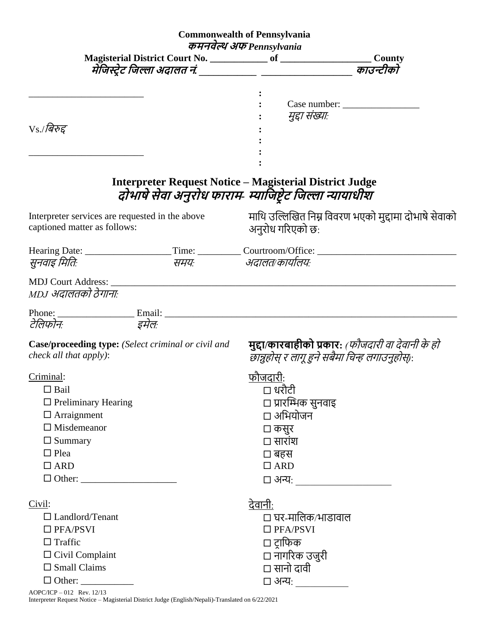|                                                                                      |  | <b>Commonwealth of Pennsylvania</b>                                                                                                                                                                                           |  |  |  |  |  |
|--------------------------------------------------------------------------------------|--|-------------------------------------------------------------------------------------------------------------------------------------------------------------------------------------------------------------------------------|--|--|--|--|--|
| कमनवेल्थ अफ Pennsylvania                                                             |  |                                                                                                                                                                                                                               |  |  |  |  |  |
|                                                                                      |  |                                                                                                                                                                                                                               |  |  |  |  |  |
|                                                                                      |  | काउन्टीको<br>मेंजिस्ट्रेट जिल्ला अदालत नं. ___________ ____________________                                                                                                                                                   |  |  |  |  |  |
|                                                                                      |  |                                                                                                                                                                                                                               |  |  |  |  |  |
|                                                                                      |  |                                                                                                                                                                                                                               |  |  |  |  |  |
|                                                                                      |  | मुद्दा संख्याः                                                                                                                                                                                                                |  |  |  |  |  |
| $\rm V s$ ./बिरुद्द                                                                  |  |                                                                                                                                                                                                                               |  |  |  |  |  |
|                                                                                      |  |                                                                                                                                                                                                                               |  |  |  |  |  |
|                                                                                      |  |                                                                                                                                                                                                                               |  |  |  |  |  |
|                                                                                      |  | <b>Interpreter Request Notice - Magisterial District Judge</b>                                                                                                                                                                |  |  |  |  |  |
|                                                                                      |  | दोभाषे सेवा अनुरोध फाराम- म्याजिष्टेट जिल्ला न्यायाधीश                                                                                                                                                                        |  |  |  |  |  |
| Interpreter services are requested in the above<br>captioned matter as follows:      |  | माथि उल्लिखित निम्न विवरण भएको मुद्दामा दोभाषे सेवाको<br>अनुरोध गरिएको छ:                                                                                                                                                     |  |  |  |  |  |
|                                                                                      |  |                                                                                                                                                                                                                               |  |  |  |  |  |
| सुनवाइ मितिः                                                                         |  | समयः अदालत/कार्यालयः                                                                                                                                                                                                          |  |  |  |  |  |
|                                                                                      |  | MDJ Court Address: No. 1996. The Second Second Second Second Second Second Second Second Second Second Second Second Second Second Second Second Second Second Second Second Second Second Second Second Second Second Second |  |  |  |  |  |
| MDJ अदालतको ठेगानाः                                                                  |  |                                                                                                                                                                                                                               |  |  |  |  |  |
|                                                                                      |  |                                                                                                                                                                                                                               |  |  |  |  |  |
| टेलिफोनः इमेलः                                                                       |  |                                                                                                                                                                                                                               |  |  |  |  |  |
| Case/proceeding type: (Select criminal or civil and<br><i>check all that apply):</i> |  | मुद्दा/कारबाहीको प्रकार: <i>(फौजदारी वा देवानी के हो</i><br>छान्नुहोस् र लागू हुने सबैमा चिन्ह लगाउनुहोस्):                                                                                                                   |  |  |  |  |  |
| Criminal:                                                                            |  | फौ <u>जदारी</u> :                                                                                                                                                                                                             |  |  |  |  |  |
| $\Box$ Bail                                                                          |  | □ धरौटी                                                                                                                                                                                                                       |  |  |  |  |  |
| $\Box$ Preliminary Hearing                                                           |  | □ प्रारम्भिक सुनवाइ                                                                                                                                                                                                           |  |  |  |  |  |
| $\Box$ Arraignment                                                                   |  | □ अभियोजन                                                                                                                                                                                                                     |  |  |  |  |  |
| $\Box$ Misdemeanor                                                                   |  | □ कसुर                                                                                                                                                                                                                        |  |  |  |  |  |
| $\Box$ Summary                                                                       |  | □ सारांश                                                                                                                                                                                                                      |  |  |  |  |  |
| $\Box$ Plea                                                                          |  | □ बहस                                                                                                                                                                                                                         |  |  |  |  |  |
| $\Box$ ARD                                                                           |  | $\Box$ ARD                                                                                                                                                                                                                    |  |  |  |  |  |
|                                                                                      |  | □ अन्यः ______________________                                                                                                                                                                                                |  |  |  |  |  |
| Civil:                                                                               |  | <u>देवानी:</u>                                                                                                                                                                                                                |  |  |  |  |  |
| $\Box$ Landlord/Tenant                                                               |  | □ घर-मालिक∕भाडावाल                                                                                                                                                                                                            |  |  |  |  |  |
| $\square$ PFA/PSVI                                                                   |  | $\square$ PFA/PSVI                                                                                                                                                                                                            |  |  |  |  |  |
| $\Box$ Traffic                                                                       |  | □ ट़ाफिक                                                                                                                                                                                                                      |  |  |  |  |  |
| $\Box$ Civil Complaint                                                               |  | □ नागरिक उजुरी                                                                                                                                                                                                                |  |  |  |  |  |
| $\square$ Small Claims                                                               |  | □ सानो दावी                                                                                                                                                                                                                   |  |  |  |  |  |
| $\Box$ Other:                                                                        |  |                                                                                                                                                                                                                               |  |  |  |  |  |
|                                                                                      |  |                                                                                                                                                                                                                               |  |  |  |  |  |

AOPC/ICP – 012 Rev. 12/13 Interpreter Request Notice – Magisterial District Judge (English/Nepali)-Translated on 6/22/2021